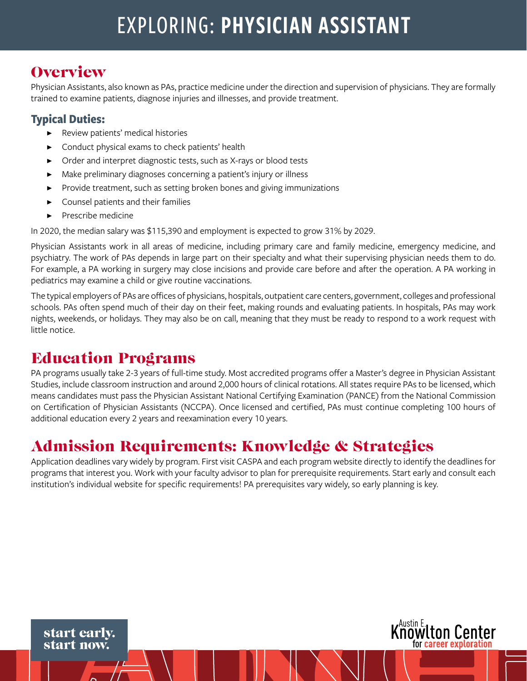# EXPLORING: PHYSICIAN ASSISTANT

### **Overview**

Physician Assistants, also known as PAs, practice medicine under the direction and supervision of physicians. They are formally trained to examine patients, diagnose injuries and illnesses, and provide treatment.

#### **Typical Duties:**

- Review patients' medical histories
- Conduct physical exams to check patients' health
- Order and interpret diagnostic tests, such as X-rays or blood tests
- Make preliminary diagnoses concerning a patient's injury or illness
- Provide treatment, such as setting broken bones and giving immunizations
- Counsel patients and their families
- ▶ Prescribe medicine

In 2020, the median salary was \$115,390 and employment is expected to grow 31% by 2029.

Physician Assistants work in all areas of medicine, including primary care and family medicine, emergency medicine, and psychiatry. The work of PAs depends in large part on their specialty and what their supervising physician needs them to do. For example, a PA working in surgery may close incisions and provide care before and after the operation. A PA working in pediatrics may examine a child or give routine vaccinations.

The typical employers of PAs are offices of physicians, hospitals, outpatient care centers, government, colleges and professional schools. PAs often spend much of their day on their feet, making rounds and evaluating patients. In hospitals, PAs may work nights, weekends, or holidays. They may also be on call, meaning that they must be ready to respond to a work request with little notice.

### Education Programs

PA programs usually take 2-3 years of full-time study. Most accredited programs offer a Master's degree in Physician Assistant Studies, include classroom instruction and around 2,000 hours of clinical rotations. All states require PAs to be licensed, which means candidates must pass the Physician Assistant National Certifying Examination (PANCE) from the National Commission on Certification of Physician Assistants (NCCPA). Once licensed and certified, PAs must continue completing 100 hours of additional education every 2 years and reexamination every 10 years.

## Admission Requirements: Knowledge & Strategies

Application deadlines vary widely by program. First visit CASPA and each program website directly to identify the deadlines for programs that interest you. Work with your faculty advisor to plan for prerequisite requirements. Start early and consult each institution's individual website for specific requirements! PA prerequisites vary widely, so early planning is key.